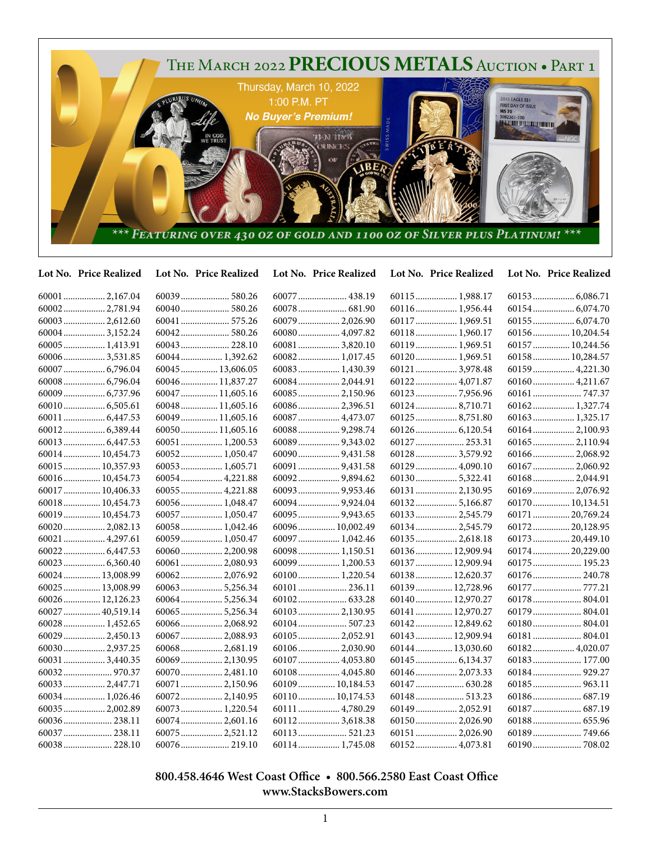

## **Lot No. Price Realized Lot No. Price Realized Lot No. Price Realized Lot No. Price Realized Lot No. Price Realized**

|                  |                  | 60077  438.19    | 60115 1,988.17   |                  |
|------------------|------------------|------------------|------------------|------------------|
| 60002 2,781.94   |                  |                  | 60116 1,956.44   |                  |
| 60003  2,612.60  | 60041  575.26    | 60079  2,026.90  | 60117  1,969.51  | 60155  6,074.70  |
| 60004 3,152.24   |                  | 60080 4,097.82   | 60118 1,960.17   | 60156  10,204.54 |
| 60005  1,413.91  | 60043  228.10    | 60081  3,820.10  | 60119 1,969.51   | 60157  10,244.56 |
| 60006 3,531.85   | 60044 1,392.62   | 60082 1,017.45   | 60120 1,969.51   | 60158 10,284.57  |
| 60007  6,796.04  | 60045 13,606.05  | 60083  1,430.39  | 60121  3,978.48  | 60159  4,221.30  |
|                  | 60046 11,837.27  | 60084 2,044.91   | 60122 4,071.87   |                  |
| 60009  6,737.96  | 60047  11,605.16 | 60085  2,150.96  |                  |                  |
| 60010 6,505.61   | 60048 11,605.16  | 60086 2,396.51   | 60124  8,710.71  | 60162 1,327.74   |
| 60011  6,447.53  | 60049 11,605.16  | 60087  4,473.07  | 60125  8,751.80  | 60163 1,325.17   |
|                  | 60050 11,605.16  |                  |                  |                  |
|                  | 60051  1,200.53  | 60089  9,343.02  | 60127  253.31    | 60165  2,110.94  |
| 60014 10,454.73  | 60052 1,050.47   |                  | 60128 3,579.92   | 60166 2,068.92   |
| 60015  10,357.93 | 60053 1,605.71   | 60091  9,431.58  | 60129  4,090.10  | 60167  2,060.92  |
| 60016  10,454.73 | 60054 4,221.88   | 600929,894.62    |                  | 60168 2,044.91   |
| 60017  10,406.33 | 60055 4,221.88   | 60093  9,953.46  | 60131  2,130.95  | 60169  2,076.92  |
| 60018  10,454.73 | 60056 1,048.47   | 60094  9,924.04  | 60132 5,166.87   | 60170 10,134.51  |
| 60019  10,454.73 | 60057  1,050.47  | 60095  9,943.65  | 60133 2,545.79   | 60171  20,769.24 |
| 60020 2,082.13   | $60058$ 1,042.46 | 60096  10,002.49 | 60134 2,545.79   | 60172 20,128.95  |
| 60021  4,297.61  | 60059 1,050.47   | 60097 1,042.46   | 60135 2,618.18   | 60173  20,449.10 |
|                  | 60060 2,200.98   | 60098 1,150.51   | 60136 12,909.94  | 60174  20,229.00 |
| 60023  6,360.40  | 60061  2,080.93  | 60099 1,200.53   | 60137  12,909.94 | 60175 195.23     |
| 60024  13,008.99 | 60062 2,076.92   | 60100 1,220.54   | 60138 12,620.37  | 60176 240.78     |
| 60025  13,008.99 | 60063 5,256.34   | 60101  236.11    | 60139  12,728.96 | 60177  777.21    |
| 60026 12,126.23  | 60064 5,256.34   |                  | 60140 12,970.27  | 60178 804.01     |
| 60027  40,519.14 | 60065 5,256.34   | 60103  2,130.95  | 60141  12,970.27 | 60179  804.01    |
| 60028  1,452.65  | 60066 2,068.92   | 60104  507.23    | 60142 12,849.62  | 60180 804.01     |
| 60029  2,450.13  | 60067  2,088.93  | 60105 2,052.91   | 60143  12,909.94 | 60181  804.01    |
| 600302,937.25    | 60068 2,681.19   | 60106 2,030.90   | 60144  13,030.60 | 60182 4,020.07   |
| 60031  3,440.35  | 60069 2,130.95   | 60107  4,053.80  |                  | 60183 177.00     |
|                  | 600702,481.10    | 60108 4,045.80   | 60146  2,073.33  |                  |
| 60033  2,447.71  | 60071  2,150.96  | 60109 10,184.53  | 60147  630.28    | 60185  963.11    |
| 60034  1,026.46  | 60072 2,140.95   | 60110 10,174.53  |                  |                  |
| 60035  2,002.89  | 60073 1,220.54   | 60111  4,780.29  | 60149  2,052.91  |                  |
| 60036 238.11     | 60074 2,601.16   | 601123,618.38    | 60150 2,026.90   |                  |
| 60037  238.11    | 60075 2,521.12   | 60113 521.23     | 60151  2,026.90  |                  |
| 60038 228.10     |                  | 60114 1,745.08   | 60152 4,073.81   |                  |

## **800.458.4646 West Coast Office • 800.566.2580 East Coast Office www.StacksBowers.com**